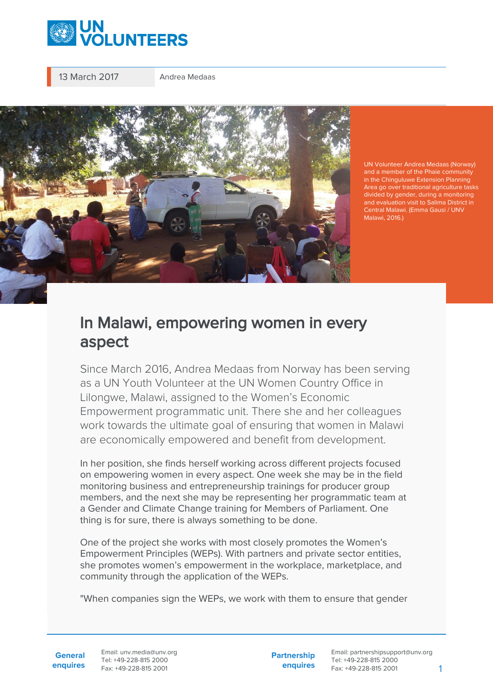

13 March 2017 Andrea Medaas



and a member of the Phaie community in the Chinguluwe Extension Planning Area go over traditional agriculture tasks divided by gender, during a monitoring and evaluation visit to Salima District in Central Malawi. (Emma Gausi / UNV Malawi, 2016.)

## In Malawi, empowering women in every aspect

Since March 2016, Andrea Medaas from Norway has been serving as a UN Youth Volunteer at the UN Women Country Office in Lilongwe, Malawi, assigned to the Women's Economic Empowerment programmatic unit. There she and her colleagues work towards the ultimate goal of ensuring that women in Malawi are economically empowered and benefit from development.

In her position, she finds herself working across different projects focused on empowering women in every aspect. One week she may be in the field monitoring business and entrepreneurship trainings for producer group members, and the next she may be representing her programmatic team at a Gender and Climate Change training for Members of Parliament. One thing is for sure, there is always something to be done.

One of the project she works with most closely promotes the Women's Empowerment Principles (WEPs). With partners and private sector entities, she promotes women's empowerment in the workplace, marketplace, and community through the application of the WEPs.

"When companies sign the WEPs, we work with them to ensure that gender

**General enquires** Email: unv.media@unv.org Tel: +49-228-815 2000 Fax: +49-228-815 2001

**Partnership enquires**

Email: partnershipsupport@unv.org Tel: +49-228-815 2000 Fax: +49-228-815 2001 1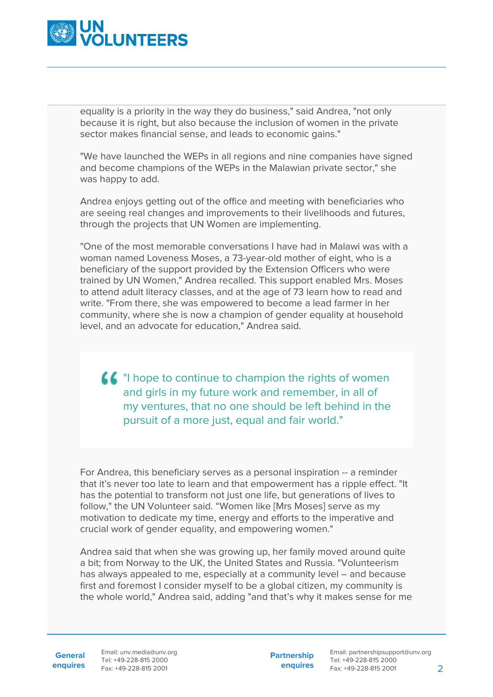

equality is a priority in the way they do business," said Andrea, "not only because it is right, but also because the inclusion of women in the private sector makes financial sense, and leads to economic gains."

"We have launched the WEPs in all regions and nine companies have signed and become champions of the WEPs in the Malawian private sector," she was happy to add.

Andrea enjoys getting out of the office and meeting with beneficiaries who are seeing real changes and improvements to their livelihoods and futures, through the projects that UN Women are implementing.

"One of the most memorable conversations I have had in Malawi was with a woman named Loveness Moses, a 73-year-old mother of eight, who is a beneficiary of the support provided by the Extension Officers who were trained by UN Women," Andrea recalled. This support enabled Mrs. Moses to attend adult literacy classes, and at the age of 73 learn how to read and write. "From there, she was empowered to become a lead farmer in her community, where she is now a champion of gender equality at household level, and an advocate for education," Andrea said.

**44** "I hope to continue to champion the rights of women and girls in my future work and remember, in all of my ventures, that no one should be left behind in the pursuit of a more just, equal and fair world."

For Andrea, this beneficiary serves as a personal inspiration -- a reminder that it's never too late to learn and that empowerment has a ripple effect. "It has the potential to transform not just one life, but generations of lives to follow," the UN Volunteer said. "Women like [Mrs Moses] serve as my motivation to dedicate my time, energy and efforts to the imperative and crucial work of gender equality, and empowering women."

Andrea said that when she was growing up, her family moved around quite a bit; from Norway to the UK, the United States and Russia. "Volunteerism has always appealed to me, especially at a community level – and because first and foremost I consider myself to be a global citizen, my community is the whole world," Andrea said, adding "and that's why it makes sense for me

**General**

**enquires** Fax: +49-228-815 2001 Email: unv.media@unv.org Tel: +49-228-815 2000

**Partnership enquires**

Email: partnershipsupport@unv.org Tel: +49-228-815 2000 Fax: +49-228-815 2001 2